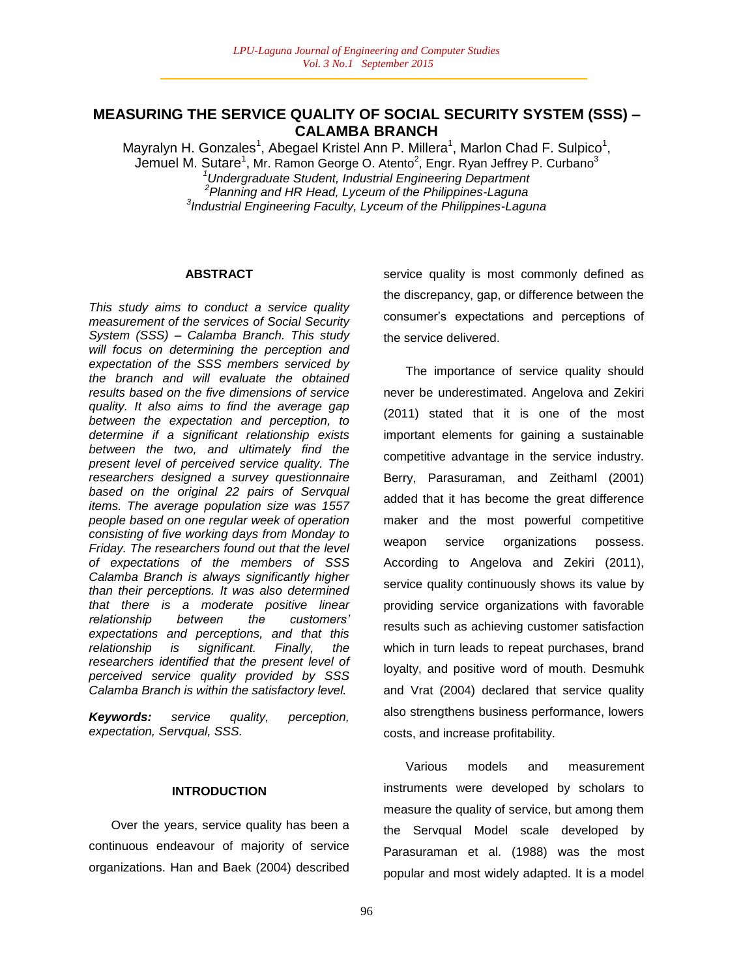# **MEASURING THE SERVICE QUALITY OF SOCIAL SECURITY SYSTEM (SSS) – CALAMBA BRANCH**

Mayralyn H. Gonzales<sup>1</sup>, Abegael Kristel Ann P. Millera<sup>1</sup>, Marlon Chad F. Sulpico<sup>1</sup>, Jemuel M. Sutare<sup>1</sup>, Mr. Ramon George O. Atento<sup>2</sup>, Engr. Ryan Jeffrey P. Curbano<sup>3</sup> *<sup>1</sup>Undergraduate Student, Industrial Engineering Department 2 Planning and HR Head, Lyceum of the Philippines-Laguna 3 Industrial Engineering Faculty, Lyceum of the Philippines-Laguna*

#### **ABSTRACT**

*This study aims to conduct a service quality measurement of the services of Social Security System (SSS) – Calamba Branch. This study will focus on determining the perception and expectation of the SSS members serviced by the branch and will evaluate the obtained results based on the five dimensions of service quality. It also aims to find the average gap between the expectation and perception, to determine if a significant relationship exists between the two, and ultimately find the present level of perceived service quality. The researchers designed a survey questionnaire based on the original 22 pairs of Servqual items. The average population size was 1557 people based on one regular week of operation consisting of five working days from Monday to Friday. The researchers found out that the level of expectations of the members of SSS Calamba Branch is always significantly higher than their perceptions. It was also determined that there is a moderate positive linear relationship between the customers" expectations and perceptions, and that this relationship is significant. Finally, the researchers identified that the present level of perceived service quality provided by SSS Calamba Branch is within the satisfactory level.*

*Keywords: service quality, perception, expectation, Servqual, SSS.*

#### **INTRODUCTION**

Over the years, service quality has been a continuous endeavour of majority of service organizations. Han and Baek (2004) described service quality is most commonly defined as the discrepancy, gap, or difference between the consumer"s expectations and perceptions of the service delivered.

The importance of service quality should never be underestimated. Angelova and Zekiri (2011) stated that it is one of the most important elements for gaining a sustainable competitive advantage in the service industry. Berry, Parasuraman, and Zeithaml (2001) added that it has become the great difference maker and the most powerful competitive weapon service organizations possess. According to Angelova and Zekiri (2011), service quality continuously shows its value by providing service organizations with favorable results such as achieving customer satisfaction which in turn leads to repeat purchases, brand loyalty, and positive word of mouth. Desmuhk and Vrat (2004) declared that service quality also strengthens business performance, lowers costs, and increase profitability.

Various models and measurement instruments were developed by scholars to measure the quality of service, but among them the Servqual Model scale developed by Parasuraman et al. (1988) was the most popular and most widely adapted. It is a model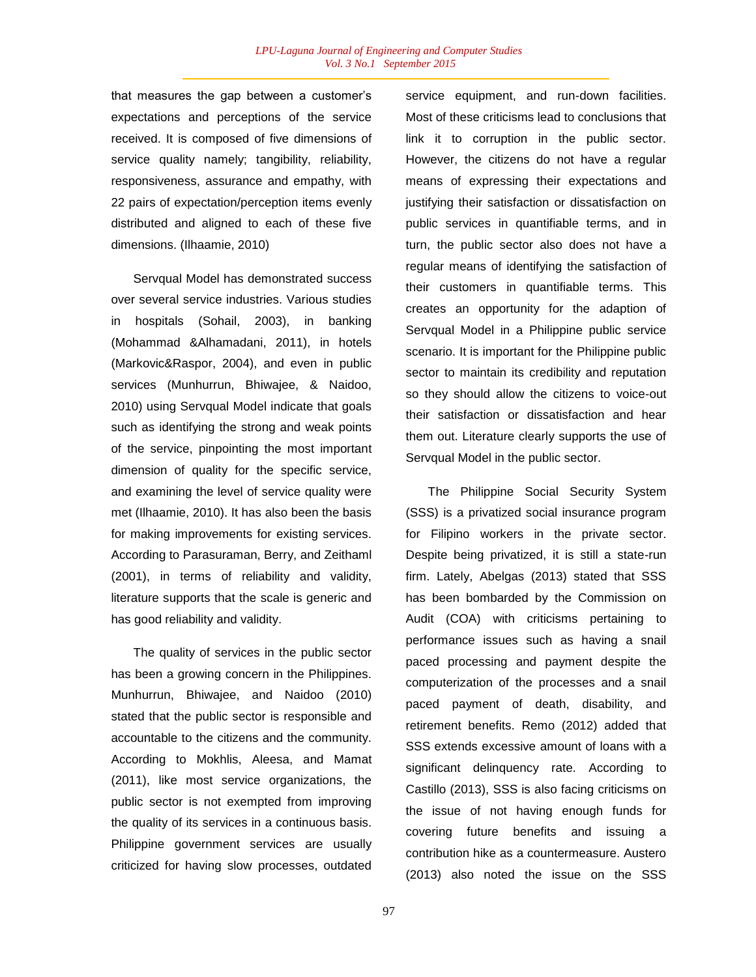that measures the gap between a customer"s expectations and perceptions of the service received. It is composed of five dimensions of service quality namely; tangibility, reliability, responsiveness, assurance and empathy, with 22 pairs of expectation/perception items evenly distributed and aligned to each of these five dimensions. (Ilhaamie, 2010)

Servqual Model has demonstrated success over several service industries. Various studies in hospitals (Sohail, 2003), in banking (Mohammad &Alhamadani, 2011), in hotels (Markovic&Raspor, 2004), and even in public services (Munhurrun, Bhiwajee, & Naidoo, 2010) using Servqual Model indicate that goals such as identifying the strong and weak points of the service, pinpointing the most important dimension of quality for the specific service, and examining the level of service quality were met (Ilhaamie, 2010). It has also been the basis for making improvements for existing services. According to Parasuraman, Berry, and Zeithaml (2001), in terms of reliability and validity, literature supports that the scale is generic and has good reliability and validity.

The quality of services in the public sector has been a growing concern in the Philippines. Munhurrun, Bhiwajee, and Naidoo (2010) stated that the public sector is responsible and accountable to the citizens and the community. According to Mokhlis, Aleesa, and Mamat (2011), like most service organizations, the public sector is not exempted from improving the quality of its services in a continuous basis. Philippine government services are usually criticized for having slow processes, outdated

service equipment, and run-down facilities. Most of these criticisms lead to conclusions that link it to corruption in the public sector. However, the citizens do not have a regular means of expressing their expectations and justifying their satisfaction or dissatisfaction on public services in quantifiable terms, and in turn, the public sector also does not have a regular means of identifying the satisfaction of their customers in quantifiable terms. This creates an opportunity for the adaption of Servqual Model in a Philippine public service scenario. It is important for the Philippine public sector to maintain its credibility and reputation so they should allow the citizens to voice-out their satisfaction or dissatisfaction and hear them out. Literature clearly supports the use of Servqual Model in the public sector.

The Philippine Social Security System (SSS) is a privatized social insurance program for Filipino workers in the private sector. Despite being privatized, it is still a state-run firm. Lately, Abelgas (2013) stated that SSS has been bombarded by the Commission on Audit (COA) with criticisms pertaining to performance issues such as having a snail paced processing and payment despite the computerization of the processes and a snail paced payment of death, disability, and retirement benefits. Remo (2012) added that SSS extends excessive amount of loans with a significant delinquency rate. According to Castillo (2013), SSS is also facing criticisms on the issue of not having enough funds for covering future benefits and issuing a contribution hike as a countermeasure. Austero (2013) also noted the issue on the SSS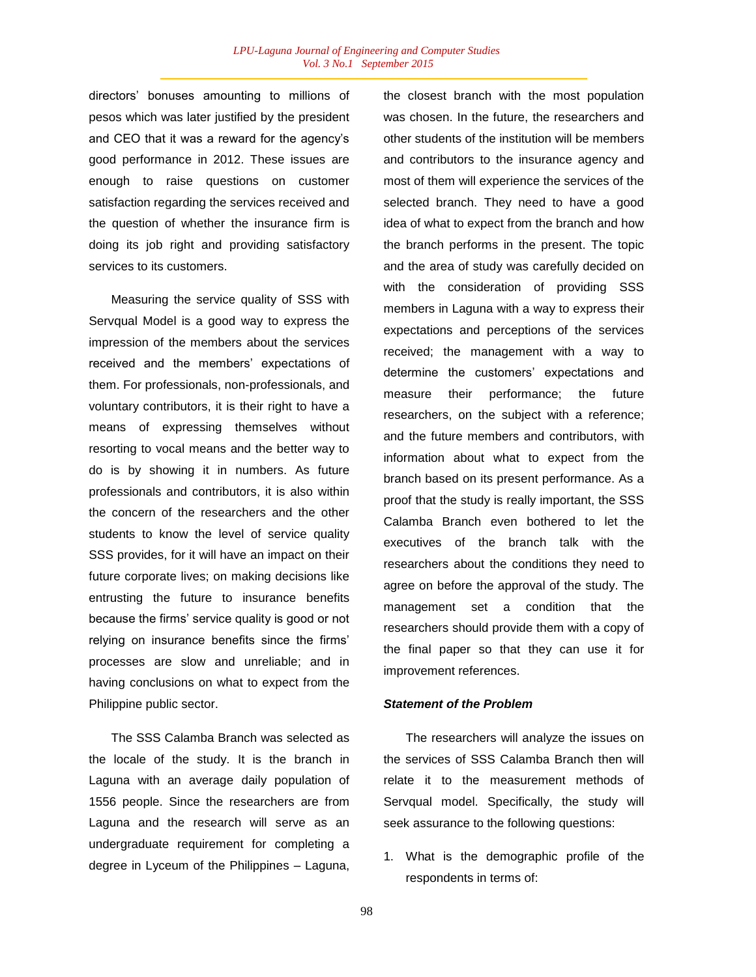directors" bonuses amounting to millions of pesos which was later justified by the president and CEO that it was a reward for the agency"s good performance in 2012. These issues are enough to raise questions on customer satisfaction regarding the services received and the question of whether the insurance firm is doing its job right and providing satisfactory services to its customers.

Measuring the service quality of SSS with Servqual Model is a good way to express the impression of the members about the services received and the members' expectations of them. For professionals, non-professionals, and voluntary contributors, it is their right to have a means of expressing themselves without resorting to vocal means and the better way to do is by showing it in numbers. As future professionals and contributors, it is also within the concern of the researchers and the other students to know the level of service quality SSS provides, for it will have an impact on their future corporate lives; on making decisions like entrusting the future to insurance benefits because the firms" service quality is good or not relying on insurance benefits since the firms" processes are slow and unreliable; and in having conclusions on what to expect from the Philippine public sector.

The SSS Calamba Branch was selected as the locale of the study. It is the branch in Laguna with an average daily population of 1556 people. Since the researchers are from Laguna and the research will serve as an undergraduate requirement for completing a degree in Lyceum of the Philippines – Laguna, the closest branch with the most population was chosen. In the future, the researchers and other students of the institution will be members and contributors to the insurance agency and most of them will experience the services of the selected branch. They need to have a good idea of what to expect from the branch and how the branch performs in the present. The topic and the area of study was carefully decided on with the consideration of providing SSS members in Laguna with a way to express their expectations and perceptions of the services received; the management with a way to determine the customers" expectations and measure their performance; the future researchers, on the subject with a reference; and the future members and contributors, with information about what to expect from the branch based on its present performance. As a proof that the study is really important, the SSS Calamba Branch even bothered to let the executives of the branch talk with the researchers about the conditions they need to agree on before the approval of the study. The management set a condition that the researchers should provide them with a copy of the final paper so that they can use it for improvement references.

#### *Statement of the Problem*

The researchers will analyze the issues on the services of SSS Calamba Branch then will relate it to the measurement methods of Servqual model. Specifically, the study will seek assurance to the following questions:

1. What is the demographic profile of the respondents in terms of: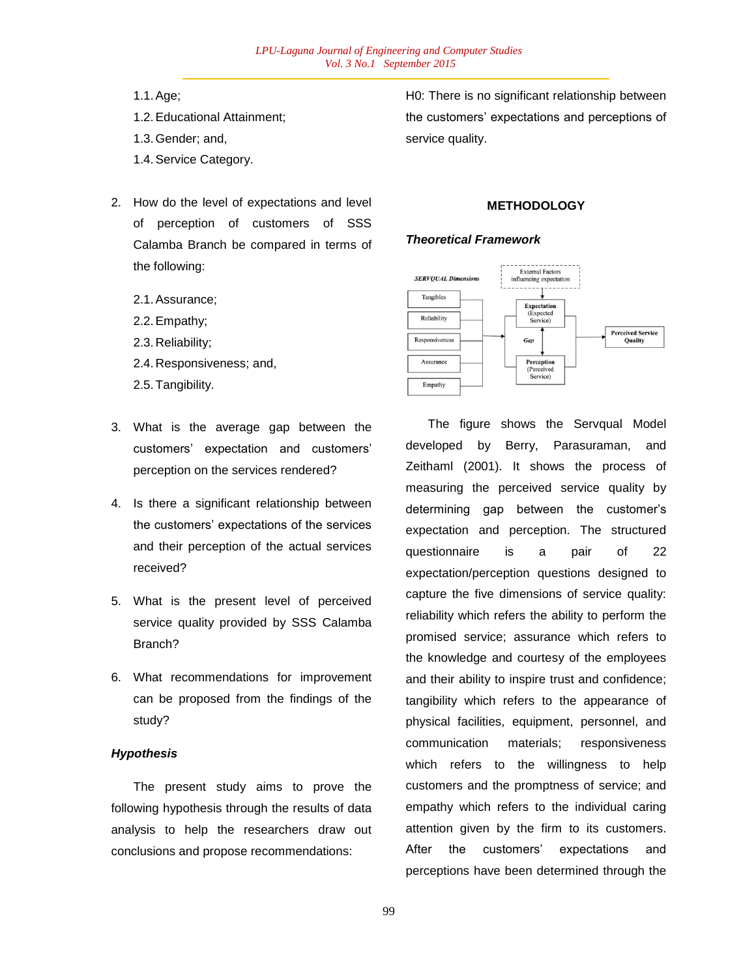- 1.1.Age;
- 1.2.Educational Attainment;
- 1.3.Gender; and,
- 1.4.Service Category.
- 2. How do the level of expectations and level of perception of customers of SSS Calamba Branch be compared in terms of the following:
	- 2.1.Assurance;
	- 2.2.Empathy;
	- 2.3. Reliability;
	- 2.4. Responsiveness; and,
	- 2.5.Tangibility.
- 3. What is the average gap between the customers" expectation and customers" perception on the services rendered?
- 4. Is there a significant relationship between the customers" expectations of the services and their perception of the actual services received?
- 5. What is the present level of perceived service quality provided by SSS Calamba Branch?
- 6. What recommendations for improvement can be proposed from the findings of the study?

## *Hypothesis*

The present study aims to prove the following hypothesis through the results of data analysis to help the researchers draw out conclusions and propose recommendations:

H0: There is no significant relationship between the customers" expectations and perceptions of service quality.

### **METHODOLOGY**

#### *Theoretical Framework*



The figure shows the Servqual Model developed by Berry, Parasuraman, and Zeithaml (2001). It shows the process of measuring the perceived service quality by determining gap between the customer"s expectation and perception. The structured questionnaire is a pair of 22 expectation/perception questions designed to capture the five dimensions of service quality: reliability which refers the ability to perform the promised service; assurance which refers to the knowledge and courtesy of the employees and their ability to inspire trust and confidence; tangibility which refers to the appearance of physical facilities, equipment, personnel, and communication materials; responsiveness which refers to the willingness to help customers and the promptness of service; and empathy which refers to the individual caring attention given by the firm to its customers. After the customers' expectations and perceptions have been determined through the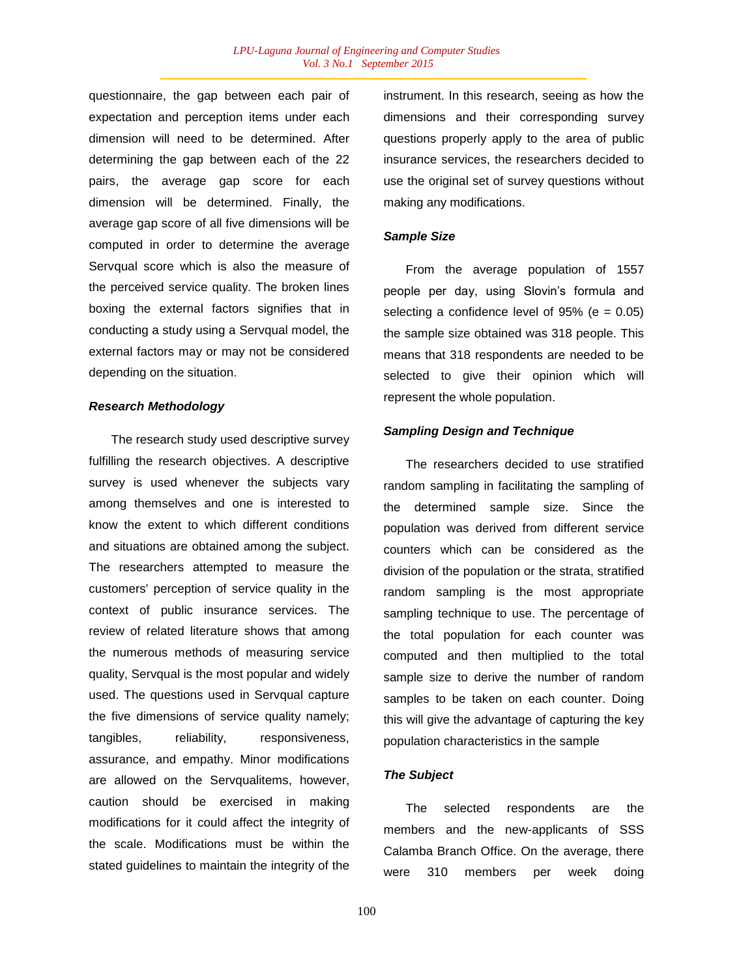questionnaire, the gap between each pair of expectation and perception items under each dimension will need to be determined. After determining the gap between each of the 22 pairs, the average gap score for each dimension will be determined. Finally, the average gap score of all five dimensions will be computed in order to determine the average Servqual score which is also the measure of the perceived service quality. The broken lines boxing the external factors signifies that in conducting a study using a Servqual model, the external factors may or may not be considered depending on the situation.

### *Research Methodology*

The research study used descriptive survey fulfilling the research objectives. A descriptive survey is used whenever the subjects vary among themselves and one is interested to know the extent to which different conditions and situations are obtained among the subject. The researchers attempted to measure the customers' perception of service quality in the context of public insurance services. The review of related literature shows that among the numerous methods of measuring service quality, Servqual is the most popular and widely used. The questions used in Servqual capture the five dimensions of service quality namely; tangibles, reliability, responsiveness, assurance, and empathy. Minor modifications are allowed on the Servqualitems, however, caution should be exercised in making modifications for it could affect the integrity of the scale. Modifications must be within the stated guidelines to maintain the integrity of the instrument. In this research, seeing as how the dimensions and their corresponding survey questions properly apply to the area of public insurance services, the researchers decided to use the original set of survey questions without making any modifications.

#### *Sample Size*

From the average population of 1557 people per day, using Slovin's formula and selecting a confidence level of  $95\%$  (e = 0.05) the sample size obtained was 318 people. This means that 318 respondents are needed to be selected to give their opinion which will represent the whole population.

#### *Sampling Design and Technique*

The researchers decided to use stratified random sampling in facilitating the sampling of the determined sample size. Since the population was derived from different service counters which can be considered as the division of the population or the strata, stratified random sampling is the most appropriate sampling technique to use. The percentage of the total population for each counter was computed and then multiplied to the total sample size to derive the number of random samples to be taken on each counter. Doing this will give the advantage of capturing the key population characteristics in the sample

#### *The Subject*

The selected respondents are the members and the new-applicants of SSS Calamba Branch Office. On the average, there were 310 members per week doing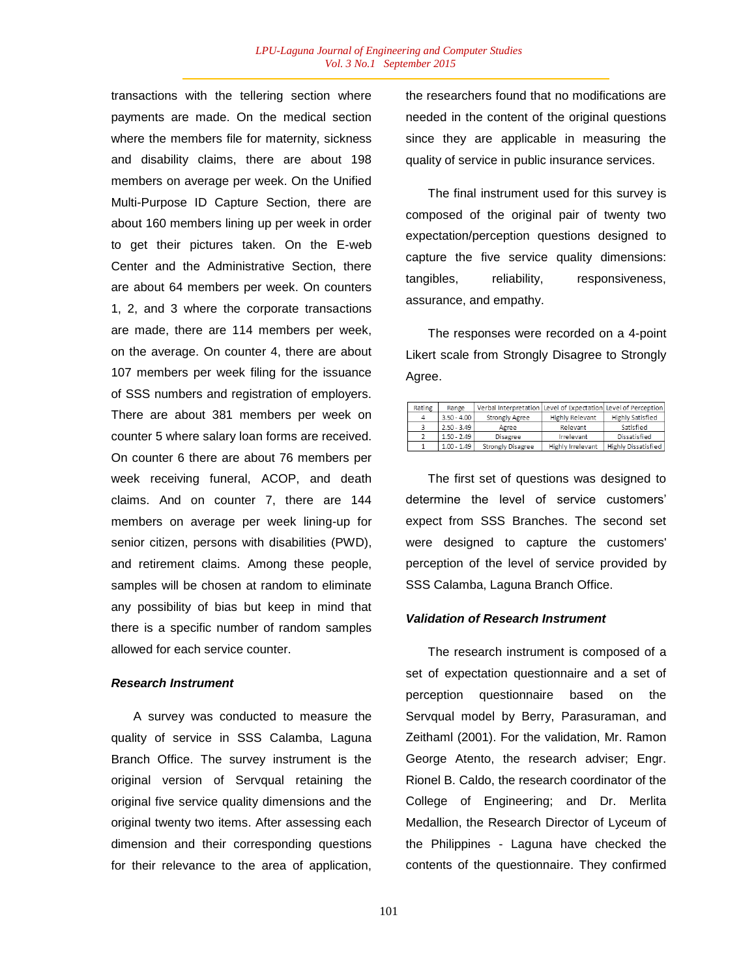transactions with the tellering section where payments are made. On the medical section where the members file for maternity, sickness and disability claims, there are about 198 members on average per week. On the Unified Multi-Purpose ID Capture Section, there are about 160 members lining up per week in order to get their pictures taken. On the E-web Center and the Administrative Section, there are about 64 members per week. On counters 1, 2, and 3 where the corporate transactions are made, there are 114 members per week, on the average. On counter 4, there are about 107 members per week filing for the issuance of SSS numbers and registration of employers. There are about 381 members per week on counter 5 where salary loan forms are received. On counter 6 there are about 76 members per week receiving funeral, ACOP, and death claims. And on counter 7, there are 144 members on average per week lining-up for senior citizen, persons with disabilities (PWD), and retirement claims. Among these people, samples will be chosen at random to eliminate any possibility of bias but keep in mind that there is a specific number of random samples allowed for each service counter.

#### *Research Instrument*

A survey was conducted to measure the quality of service in SSS Calamba, Laguna Branch Office. The survey instrument is the original version of Servqual retaining the original five service quality dimensions and the original twenty two items. After assessing each dimension and their corresponding questions for their relevance to the area of application, the researchers found that no modifications are needed in the content of the original questions since they are applicable in measuring the quality of service in public insurance services.

The final instrument used for this survey is composed of the original pair of twenty two expectation/perception questions designed to capture the five service quality dimensions: tangibles, reliability, responsiveness, assurance, and empathy.

The responses were recorded on a 4-point Likert scale from Strongly Disagree to Strongly Agree.

| Rating | Range         | Verbal Interpretation Level of Expectation Level of Perception |                        |                            |
|--------|---------------|----------------------------------------------------------------|------------------------|----------------------------|
|        | $3.50 - 4.00$ | Strongly Agree                                                 | <b>Highly Relevant</b> | Highly Satisfied           |
|        | $2.50 - 3.49$ | Agree                                                          | Relevant               | Satisfied                  |
|        | $1.50 - 2.49$ | Disagree                                                       | Irrelevant             | Dissatisfied               |
|        | $1.00 - 1.49$ | Strongly Disagree                                              | Highly Irrelevant      | <b>Highly Dissatisfied</b> |

The first set of questions was designed to determine the level of service customers" expect from SSS Branches. The second set were designed to capture the customers' perception of the level of service provided by SSS Calamba, Laguna Branch Office.

#### *Validation of Research Instrument*

The research instrument is composed of a set of expectation questionnaire and a set of perception questionnaire based on the Servqual model by Berry, Parasuraman, and Zeithaml (2001). For the validation, Mr. Ramon George Atento, the research adviser; Engr. Rionel B. Caldo, the research coordinator of the College of Engineering; and Dr. Merlita Medallion, the Research Director of Lyceum of the Philippines - Laguna have checked the contents of the questionnaire. They confirmed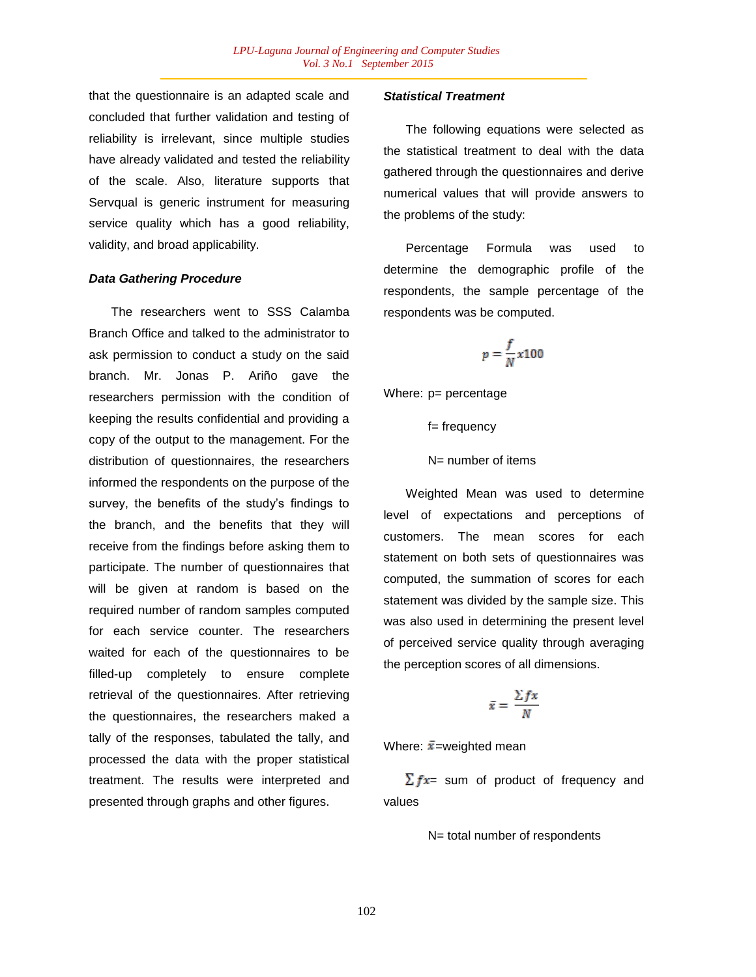that the questionnaire is an adapted scale and concluded that further validation and testing of reliability is irrelevant, since multiple studies have already validated and tested the reliability of the scale. Also, literature supports that Servqual is generic instrument for measuring service quality which has a good reliability, validity, and broad applicability.

### *Data Gathering Procedure*

The researchers went to SSS Calamba Branch Office and talked to the administrator to ask permission to conduct a study on the said branch. Mr. Jonas P. Ariño gave the researchers permission with the condition of keeping the results confidential and providing a copy of the output to the management. For the distribution of questionnaires, the researchers informed the respondents on the purpose of the survey, the benefits of the study's findings to the branch, and the benefits that they will receive from the findings before asking them to participate. The number of questionnaires that will be given at random is based on the required number of random samples computed for each service counter. The researchers waited for each of the questionnaires to be filled-up completely to ensure complete retrieval of the questionnaires. After retrieving the questionnaires, the researchers maked a tally of the responses, tabulated the tally, and processed the data with the proper statistical treatment. The results were interpreted and presented through graphs and other figures.

## *Statistical Treatment*

The following equations were selected as the statistical treatment to deal with the data gathered through the questionnaires and derive numerical values that will provide answers to the problems of the study:

Percentage Formula was used to determine the demographic profile of the respondents, the sample percentage of the respondents was be computed.

$$
p=\frac{f}{N}x100
$$

Where: p= percentage

f= frequency

N= number of items

Weighted Mean was used to determine level of expectations and perceptions of customers. The mean scores for each statement on both sets of questionnaires was computed, the summation of scores for each statement was divided by the sample size. This was also used in determining the present level of perceived service quality through averaging the perception scores of all dimensions.

$$
\bar{x} = \frac{\sum fx}{N}
$$

Where:  $\bar{x}$ =weighted mean

 $\sum fx =$  sum of product of frequency and values

N= total number of respondents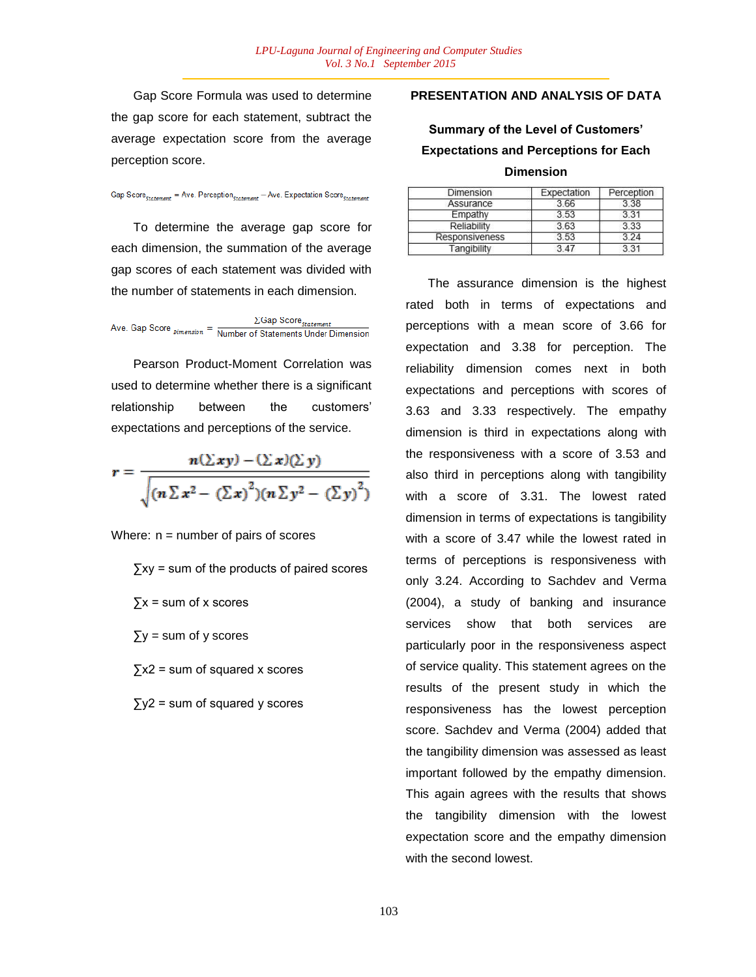Gap Score Formula was used to determine the gap score for each statement, subtract the average expectation score from the average perception score.

Gap Score  $_{statement}$  = Ave. Perception  $_{statement}$  - Ave. Expectation Score  $_{statement}$ 

To determine the average gap score for each dimension, the summation of the average gap scores of each statement was divided with the number of statements in each dimension.

Ave. Gap Score  $\frac{D}{D}$  Cap Score  $\frac{1}{S}$  Cap Score Statement

Pearson Product-Moment Correlation was used to determine whether there is a significant relationship between the customers" expectations and perceptions of the service.

$$
r = \frac{n(\Sigma xy) - (\Sigma x)(\Sigma y)}{\sqrt{(n\Sigma x^2 - (\Sigma x)^2)(n\Sigma y^2 - (\Sigma y)^2)}}
$$

Where:  $n =$  number of pairs of scores

∑xy = sum of the products of paired scores

- $\Sigma x$  = sum of x scores
- $\Sigma y$  = sum of y scores
- $\sum x^2$  = sum of squared x scores
- $\sum y^2$  = sum of squared y scores

# **PRESENTATION AND ANALYSIS OF DATA**

# **Summary of the Level of Customers' Expectations and Perceptions for Each Dimension**

| Dimension      | Expectation | Perception<br>3.38<br>3.31<br>3.33 |  |
|----------------|-------------|------------------------------------|--|
| Assurance      | 3.66        |                                    |  |
| Empathy        | 353         |                                    |  |
| Reliability    | 3.63        |                                    |  |
| Responsiveness | 3.53        | 3.24                               |  |
| Tangibility    | 3.47        | 3.31                               |  |

The assurance dimension is the highest rated both in terms of expectations and perceptions with a mean score of 3.66 for expectation and 3.38 for perception. The reliability dimension comes next in both expectations and perceptions with scores of 3.63 and 3.33 respectively. The empathy dimension is third in expectations along with the responsiveness with a score of 3.53 and also third in perceptions along with tangibility with a score of 3.31. The lowest rated dimension in terms of expectations is tangibility with a score of 3.47 while the lowest rated in terms of perceptions is responsiveness with only 3.24. According to Sachdev and Verma (2004), a study of banking and insurance services show that both services are particularly poor in the responsiveness aspect of service quality. This statement agrees on the results of the present study in which the responsiveness has the lowest perception score. Sachdev and Verma (2004) added that the tangibility dimension was assessed as least important followed by the empathy dimension. This again agrees with the results that shows the tangibility dimension with the lowest expectation score and the empathy dimension with the second lowest.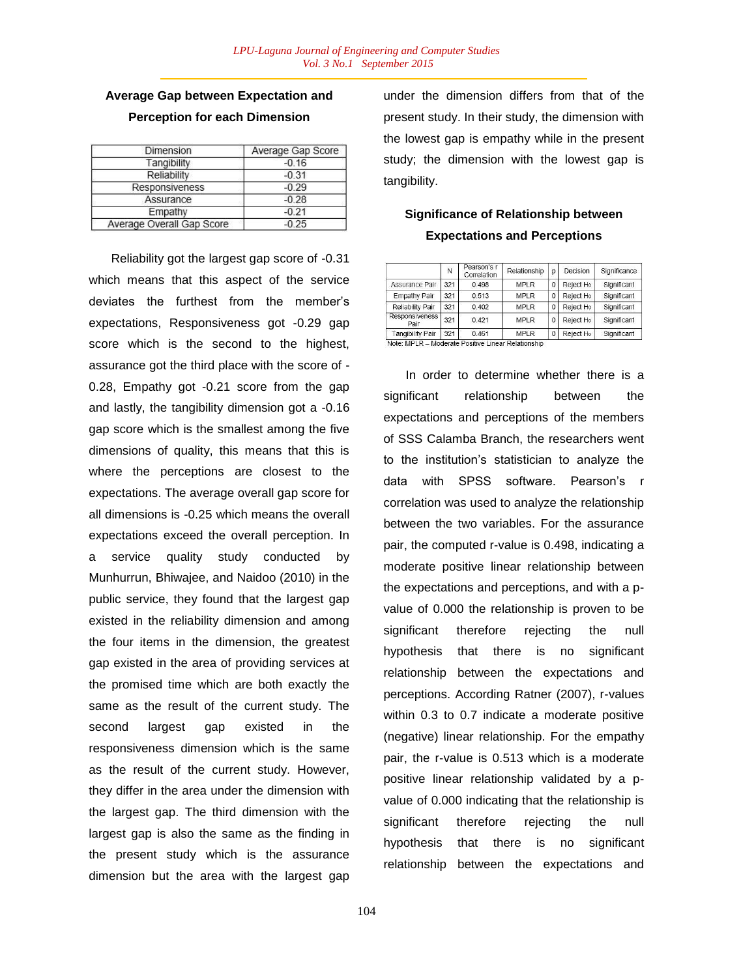# **Average Gap between Expectation and Perception for each Dimension**

| Dimension                 | Average Gap Score |  |  |
|---------------------------|-------------------|--|--|
| Tangibility               | $-0.16$           |  |  |
| Reliability               | $-0.31$           |  |  |
| Responsiveness            | $-0.29$           |  |  |
| Assurance                 | $-0.28$           |  |  |
| Empathy                   | $-0.21$           |  |  |
| Average Overall Gap Score | $-0.25$           |  |  |

Reliability got the largest gap score of -0.31 which means that this aspect of the service deviates the furthest from the member"s expectations, Responsiveness got -0.29 gap score which is the second to the highest, assurance got the third place with the score of - 0.28, Empathy got -0.21 score from the gap and lastly, the tangibility dimension got a -0.16 gap score which is the smallest among the five dimensions of quality, this means that this is where the perceptions are closest to the expectations. The average overall gap score for all dimensions is -0.25 which means the overall expectations exceed the overall perception. In a service quality study conducted by Munhurrun, Bhiwajee, and Naidoo (2010) in the public service, they found that the largest gap existed in the reliability dimension and among the four items in the dimension, the greatest gap existed in the area of providing services at the promised time which are both exactly the same as the result of the current study. The second largest gap existed in the responsiveness dimension which is the same as the result of the current study. However, they differ in the area under the dimension with the largest gap. The third dimension with the largest gap is also the same as the finding in the present study which is the assurance dimension but the area with the largest gap under the dimension differs from that of the present study. In their study, the dimension with the lowest gap is empathy while in the present study; the dimension with the lowest gap is tangibility.

# **Significance of Relationship between Expectations and Perceptions**

|                               | N   | Pearson's r<br>Correlation | Relationship | p            | Decision  | Significance |
|-------------------------------|-----|----------------------------|--------------|--------------|-----------|--------------|
| Assurance Pair                | 321 | 0.498                      | <b>MPLR</b>  | 0            | Reject Ho | Significant  |
| Empathy Pair                  | 321 | 0.513                      | <b>MPLR</b>  | $\mathbf 0$  | Reject Ho | Significant  |
| Reliability Pair              | 321 | 0.402                      | <b>MPLR</b>  | $\mathbf{0}$ | Reject Ho | Significant  |
| <b>Responsiveness</b><br>Pair | 321 | 0.421                      | <b>MPLR</b>  | $\mathbf{0}$ | Reject Ho | Significant  |
| <b>Tangibility Pair</b>       | 321 | 0.461                      | <b>MPLR</b>  | $\Omega$     | Reject Ho | Significant  |

In order to determine whether there is a significant relationship between the expectations and perceptions of the members of SSS Calamba Branch, the researchers went to the institution"s statistician to analyze the data with SPSS software. Pearson's r correlation was used to analyze the relationship between the two variables. For the assurance pair, the computed r-value is 0.498, indicating a moderate positive linear relationship between the expectations and perceptions, and with a pvalue of 0.000 the relationship is proven to be significant therefore rejecting the null hypothesis that there is no significant relationship between the expectations and perceptions. According Ratner (2007), r-values within 0.3 to 0.7 indicate a moderate positive (negative) linear relationship. For the empathy pair, the r-value is 0.513 which is a moderate positive linear relationship validated by a pvalue of 0.000 indicating that the relationship is significant therefore rejecting the null hypothesis that there is no significant relationship between the expectations and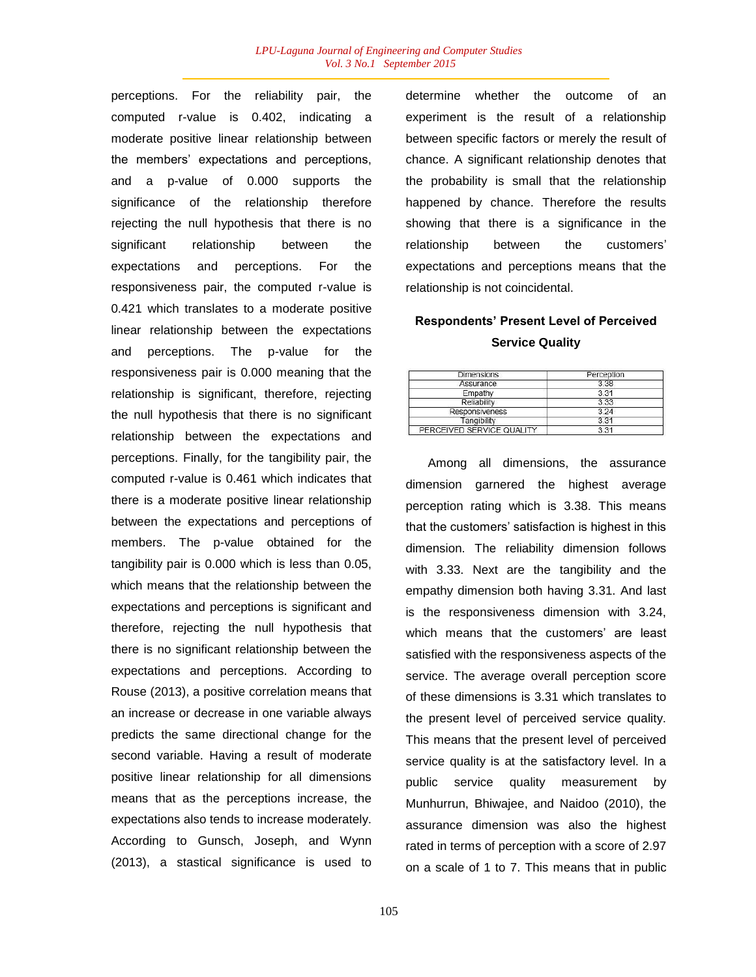perceptions. For the reliability pair, the computed r-value is 0.402, indicating a moderate positive linear relationship between the members" expectations and perceptions, and a p-value of 0.000 supports the significance of the relationship therefore rejecting the null hypothesis that there is no significant relationship between the expectations and perceptions. For the responsiveness pair, the computed r-value is 0.421 which translates to a moderate positive linear relationship between the expectations and perceptions. The p-value for the responsiveness pair is 0.000 meaning that the relationship is significant, therefore, rejecting the null hypothesis that there is no significant relationship between the expectations and perceptions. Finally, for the tangibility pair, the computed r-value is 0.461 which indicates that there is a moderate positive linear relationship between the expectations and perceptions of members. The p-value obtained for the tangibility pair is 0.000 which is less than 0.05, which means that the relationship between the expectations and perceptions is significant and therefore, rejecting the null hypothesis that there is no significant relationship between the expectations and perceptions. According to Rouse (2013), a positive correlation means that an increase or decrease in one variable always predicts the same directional change for the second variable. Having a result of moderate positive linear relationship for all dimensions means that as the perceptions increase, the expectations also tends to increase moderately. According to Gunsch, Joseph, and Wynn (2013), a stastical significance is used to determine whether the outcome of an experiment is the result of a relationship between specific factors or merely the result of chance. A significant relationship denotes that the probability is small that the relationship happened by chance. Therefore the results showing that there is a significance in the relationship between the customers" expectations and perceptions means that the relationship is not coincidental.

# **Respondents' Present Level of Perceived Service Quality**

| Dimensions                | Perception |  |  |
|---------------------------|------------|--|--|
| Assurance                 | 338        |  |  |
| Empathy                   | 3.31       |  |  |
| Reliability               | 3.33       |  |  |
| Responsiveness            | 3 24       |  |  |
| Tangibility               | 3.31       |  |  |
| PERCEIVED SERVICE QUALITY | 3.31       |  |  |

Among all dimensions, the assurance dimension garnered the highest average perception rating which is 3.38. This means that the customers" satisfaction is highest in this dimension. The reliability dimension follows with 3.33. Next are the tangibility and the empathy dimension both having 3.31. And last is the responsiveness dimension with 3.24, which means that the customers' are least satisfied with the responsiveness aspects of the service. The average overall perception score of these dimensions is 3.31 which translates to the present level of perceived service quality. This means that the present level of perceived service quality is at the satisfactory level. In a public service quality measurement by Munhurrun, Bhiwajee, and Naidoo (2010), the assurance dimension was also the highest rated in terms of perception with a score of 2.97 on a scale of 1 to 7. This means that in public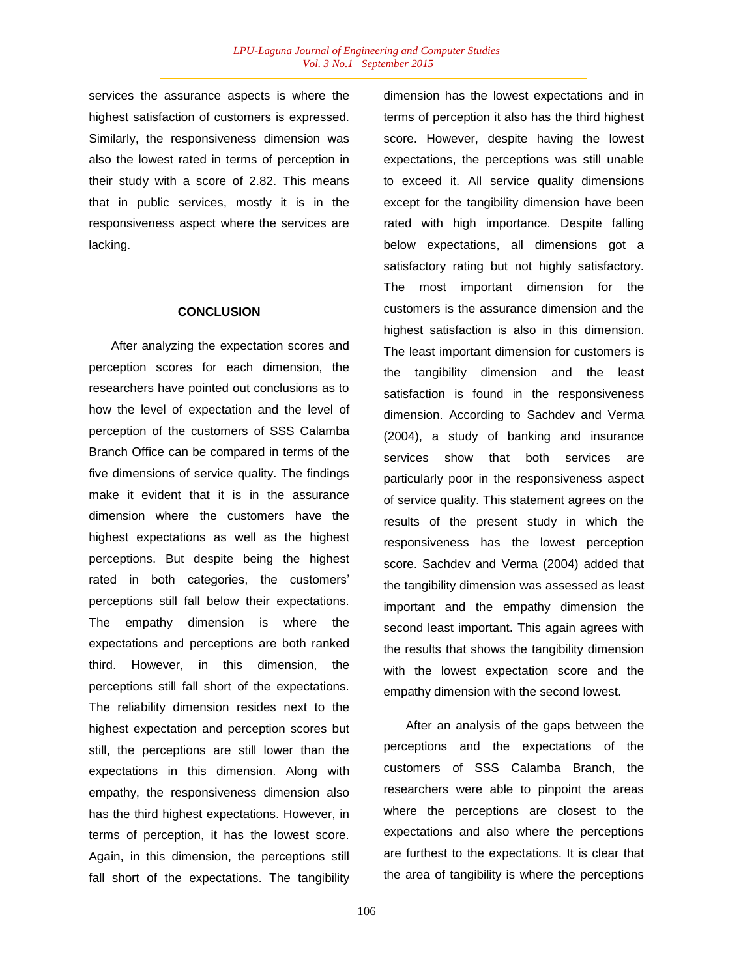services the assurance aspects is where the highest satisfaction of customers is expressed. Similarly, the responsiveness dimension was also the lowest rated in terms of perception in their study with a score of 2.82. This means that in public services, mostly it is in the responsiveness aspect where the services are lacking.

#### **CONCLUSION**

After analyzing the expectation scores and perception scores for each dimension, the researchers have pointed out conclusions as to how the level of expectation and the level of perception of the customers of SSS Calamba Branch Office can be compared in terms of the five dimensions of service quality. The findings make it evident that it is in the assurance dimension where the customers have the highest expectations as well as the highest perceptions. But despite being the highest rated in both categories, the customers" perceptions still fall below their expectations. The empathy dimension is where the expectations and perceptions are both ranked third. However, in this dimension, the perceptions still fall short of the expectations. The reliability dimension resides next to the highest expectation and perception scores but still, the perceptions are still lower than the expectations in this dimension. Along with empathy, the responsiveness dimension also has the third highest expectations. However, in terms of perception, it has the lowest score. Again, in this dimension, the perceptions still fall short of the expectations. The tangibility dimension has the lowest expectations and in terms of perception it also has the third highest score. However, despite having the lowest expectations, the perceptions was still unable to exceed it. All service quality dimensions except for the tangibility dimension have been rated with high importance. Despite falling below expectations, all dimensions got a satisfactory rating but not highly satisfactory. The most important dimension for the customers is the assurance dimension and the highest satisfaction is also in this dimension. The least important dimension for customers is the tangibility dimension and the least satisfaction is found in the responsiveness dimension. According to Sachdev and Verma (2004), a study of banking and insurance services show that both services are particularly poor in the responsiveness aspect of service quality. This statement agrees on the results of the present study in which the responsiveness has the lowest perception score. Sachdev and Verma (2004) added that the tangibility dimension was assessed as least important and the empathy dimension the second least important. This again agrees with the results that shows the tangibility dimension with the lowest expectation score and the empathy dimension with the second lowest.

After an analysis of the gaps between the perceptions and the expectations of the customers of SSS Calamba Branch, the researchers were able to pinpoint the areas where the perceptions are closest to the expectations and also where the perceptions are furthest to the expectations. It is clear that the area of tangibility is where the perceptions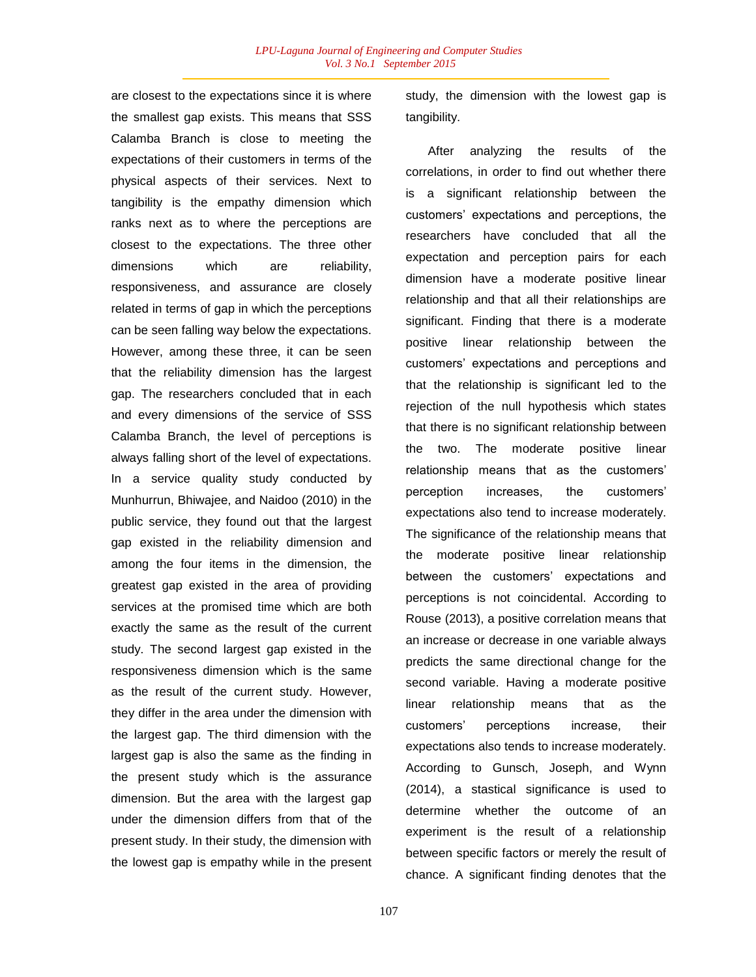are closest to the expectations since it is where the smallest gap exists. This means that SSS Calamba Branch is close to meeting the expectations of their customers in terms of the physical aspects of their services. Next to tangibility is the empathy dimension which ranks next as to where the perceptions are closest to the expectations. The three other dimensions which are reliability, responsiveness, and assurance are closely related in terms of gap in which the perceptions can be seen falling way below the expectations. However, among these three, it can be seen that the reliability dimension has the largest gap. The researchers concluded that in each and every dimensions of the service of SSS Calamba Branch, the level of perceptions is always falling short of the level of expectations. In a service quality study conducted by Munhurrun, Bhiwajee, and Naidoo (2010) in the public service, they found out that the largest gap existed in the reliability dimension and among the four items in the dimension, the greatest gap existed in the area of providing services at the promised time which are both exactly the same as the result of the current study. The second largest gap existed in the responsiveness dimension which is the same as the result of the current study. However, they differ in the area under the dimension with the largest gap. The third dimension with the largest gap is also the same as the finding in the present study which is the assurance dimension. But the area with the largest gap under the dimension differs from that of the present study. In their study, the dimension with the lowest gap is empathy while in the present study, the dimension with the lowest gap is tangibility.

After analyzing the results of the correlations, in order to find out whether there is a significant relationship between the customers" expectations and perceptions, the researchers have concluded that all the expectation and perception pairs for each dimension have a moderate positive linear relationship and that all their relationships are significant. Finding that there is a moderate positive linear relationship between the customers" expectations and perceptions and that the relationship is significant led to the rejection of the null hypothesis which states that there is no significant relationship between the two. The moderate positive linear relationship means that as the customers" perception increases, the customers" expectations also tend to increase moderately. The significance of the relationship means that the moderate positive linear relationship between the customers' expectations and perceptions is not coincidental. According to Rouse (2013), a positive correlation means that an increase or decrease in one variable always predicts the same directional change for the second variable. Having a moderate positive linear relationship means that as the customers" perceptions increase, their expectations also tends to increase moderately. According to Gunsch, Joseph, and Wynn (2014), a stastical significance is used to determine whether the outcome of an experiment is the result of a relationship between specific factors or merely the result of chance. A significant finding denotes that the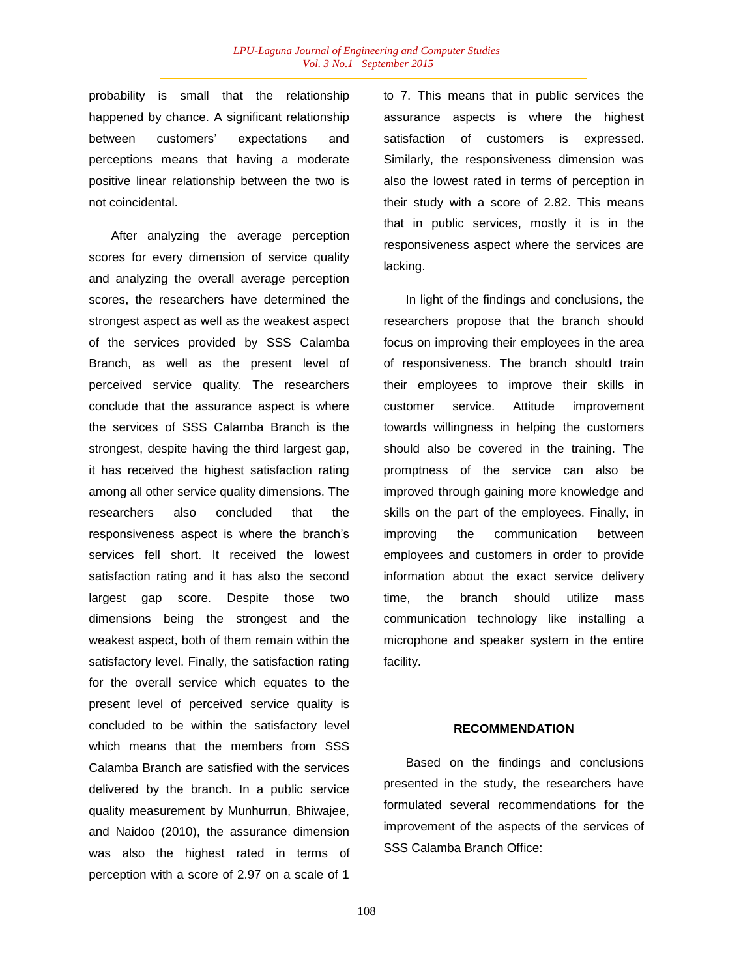probability is small that the relationship happened by chance. A significant relationship between customers" expectations and perceptions means that having a moderate positive linear relationship between the two is not coincidental.

After analyzing the average perception scores for every dimension of service quality and analyzing the overall average perception scores, the researchers have determined the strongest aspect as well as the weakest aspect of the services provided by SSS Calamba Branch, as well as the present level of perceived service quality. The researchers conclude that the assurance aspect is where the services of SSS Calamba Branch is the strongest, despite having the third largest gap, it has received the highest satisfaction rating among all other service quality dimensions. The researchers also concluded that the responsiveness aspect is where the branch"s services fell short. It received the lowest satisfaction rating and it has also the second largest gap score. Despite those two dimensions being the strongest and the weakest aspect, both of them remain within the satisfactory level. Finally, the satisfaction rating for the overall service which equates to the present level of perceived service quality is concluded to be within the satisfactory level which means that the members from SSS Calamba Branch are satisfied with the services delivered by the branch. In a public service quality measurement by Munhurrun, Bhiwajee, and Naidoo (2010), the assurance dimension was also the highest rated in terms of perception with a score of 2.97 on a scale of 1

to 7. This means that in public services the assurance aspects is where the highest satisfaction of customers is expressed. Similarly, the responsiveness dimension was also the lowest rated in terms of perception in their study with a score of 2.82. This means that in public services, mostly it is in the responsiveness aspect where the services are lacking.

In light of the findings and conclusions, the researchers propose that the branch should focus on improving their employees in the area of responsiveness. The branch should train their employees to improve their skills in customer service. Attitude improvement towards willingness in helping the customers should also be covered in the training. The promptness of the service can also be improved through gaining more knowledge and skills on the part of the employees. Finally, in improving the communication between employees and customers in order to provide information about the exact service delivery time, the branch should utilize mass communication technology like installing a microphone and speaker system in the entire facility.

### **RECOMMENDATION**

Based on the findings and conclusions presented in the study, the researchers have formulated several recommendations for the improvement of the aspects of the services of SSS Calamba Branch Office: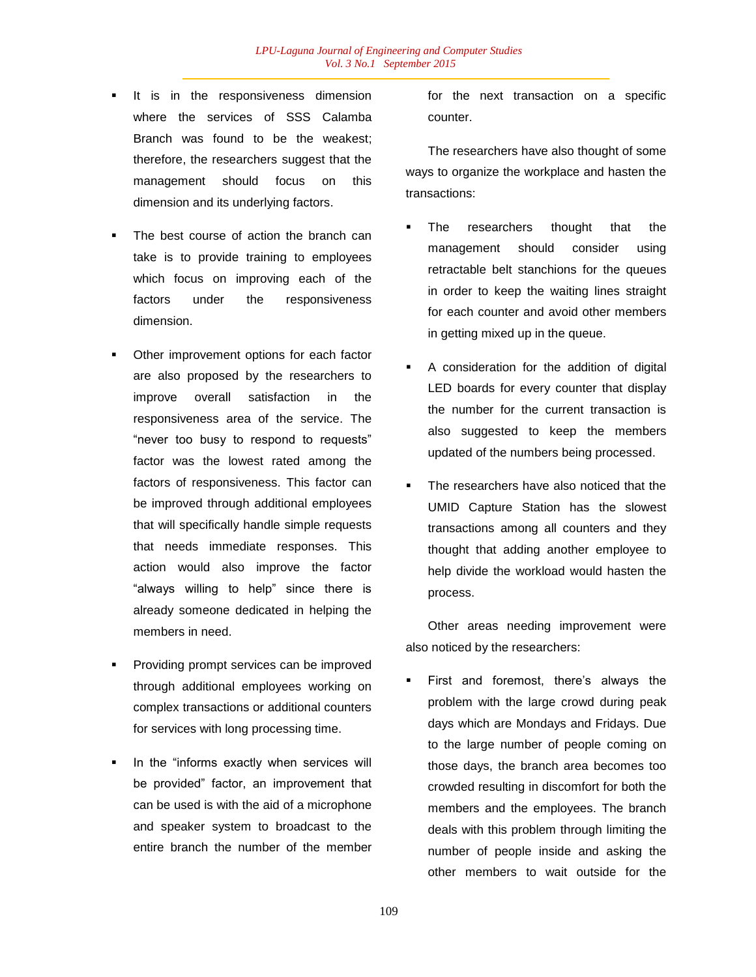- It is in the responsiveness dimension where the services of SSS Calamba Branch was found to be the weakest; therefore, the researchers suggest that the management should focus on this dimension and its underlying factors.
- The best course of action the branch can take is to provide training to employees which focus on improving each of the factors under the responsiveness dimension.
- Other improvement options for each factor are also proposed by the researchers to improve overall satisfaction in the responsiveness area of the service. The "never too busy to respond to requests" factor was the lowest rated among the factors of responsiveness. This factor can be improved through additional employees that will specifically handle simple requests that needs immediate responses. This action would also improve the factor "always willing to help" since there is already someone dedicated in helping the members in need.
- Providing prompt services can be improved through additional employees working on complex transactions or additional counters for services with long processing time.
- In the "informs exactly when services will be provided" factor, an improvement that can be used is with the aid of a microphone and speaker system to broadcast to the entire branch the number of the member

for the next transaction on a specific counter.

The researchers have also thought of some ways to organize the workplace and hasten the transactions:

- The researchers thought that the management should consider using retractable belt stanchions for the queues in order to keep the waiting lines straight for each counter and avoid other members in getting mixed up in the queue.
- A consideration for the addition of digital LED boards for every counter that display the number for the current transaction is also suggested to keep the members updated of the numbers being processed.
- The researchers have also noticed that the UMID Capture Station has the slowest transactions among all counters and they thought that adding another employee to help divide the workload would hasten the process.

Other areas needing improvement were also noticed by the researchers:

 First and foremost, there"s always the problem with the large crowd during peak days which are Mondays and Fridays. Due to the large number of people coming on those days, the branch area becomes too crowded resulting in discomfort for both the members and the employees. The branch deals with this problem through limiting the number of people inside and asking the other members to wait outside for the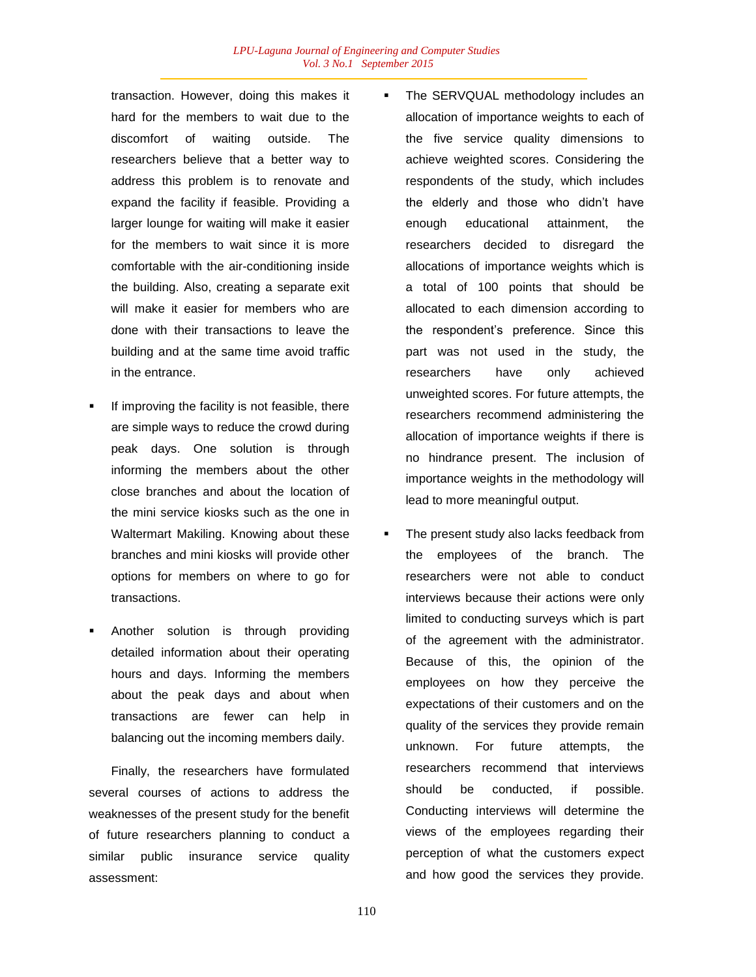transaction. However, doing this makes it hard for the members to wait due to the discomfort of waiting outside. The researchers believe that a better way to address this problem is to renovate and expand the facility if feasible. Providing a larger lounge for waiting will make it easier for the members to wait since it is more comfortable with the air-conditioning inside the building. Also, creating a separate exit will make it easier for members who are done with their transactions to leave the building and at the same time avoid traffic in the entrance.

- If improving the facility is not feasible, there are simple ways to reduce the crowd during peak days. One solution is through informing the members about the other close branches and about the location of the mini service kiosks such as the one in Waltermart Makiling. Knowing about these branches and mini kiosks will provide other options for members on where to go for transactions.
- Another solution is through providing detailed information about their operating hours and days. Informing the members about the peak days and about when transactions are fewer can help in balancing out the incoming members daily.

Finally, the researchers have formulated several courses of actions to address the weaknesses of the present study for the benefit of future researchers planning to conduct a similar public insurance service quality assessment:

- The SERVQUAL methodology includes an allocation of importance weights to each of the five service quality dimensions to achieve weighted scores. Considering the respondents of the study, which includes the elderly and those who didn"t have enough educational attainment, the researchers decided to disregard the allocations of importance weights which is a total of 100 points that should be allocated to each dimension according to the respondent"s preference. Since this part was not used in the study, the researchers have only achieved unweighted scores. For future attempts, the researchers recommend administering the allocation of importance weights if there is no hindrance present. The inclusion of importance weights in the methodology will lead to more meaningful output.
- The present study also lacks feedback from the employees of the branch. The researchers were not able to conduct interviews because their actions were only limited to conducting surveys which is part of the agreement with the administrator. Because of this, the opinion of the employees on how they perceive the expectations of their customers and on the quality of the services they provide remain unknown. For future attempts, the researchers recommend that interviews should be conducted, if possible. Conducting interviews will determine the views of the employees regarding their perception of what the customers expect and how good the services they provide.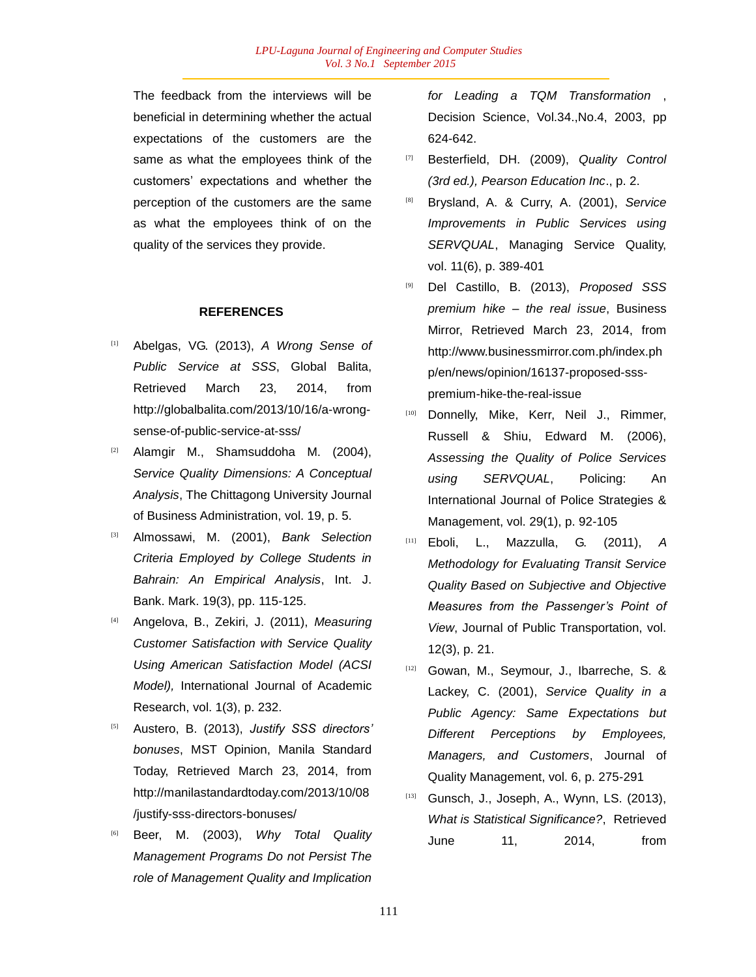The feedback from the interviews will be beneficial in determining whether the actual expectations of the customers are the same as what the employees think of the customers" expectations and whether the perception of the customers are the same as what the employees think of on the quality of the services they provide.

### **REFERENCES**

- [1] Abelgas, VG. (2013), *A Wrong Sense of Public Service at SSS*, Global Balita, Retrieved March 23, 2014, from http://globalbalita.com/2013/10/16/a-wrongsense-of-public-service-at-sss/
- [2] Alamgir M., Shamsuddoha M. (2004), *Service Quality Dimensions: A Conceptual Analysis*, The Chittagong University Journal of Business Administration, vol. 19, p. 5.
- [3] Almossawi, M. (2001), *Bank Selection Criteria Employed by College Students in Bahrain: An Empirical Analysis*, Int. J. Bank. Mark. 19(3), pp. 115-125.
- [4] Angelova, B., Zekiri, J. (2011), *Measuring Customer Satisfaction with Service Quality Using American Satisfaction Model (ACSI Model),* International Journal of Academic Research, vol. 1(3), p. 232.
- [5] Austero, B. (2013), *Justify SSS directors" bonuses*, MST Opinion, Manila Standard Today, Retrieved March 23, 2014, from http://manilastandardtoday.com/2013/10/08 /justify-sss-directors-bonuses/
- [6] Beer, M. (2003), *Why Total Quality Management Programs Do not Persist The role of Management Quality and Implication*

*for Leading a TQM Transformation* , Decision Science, Vol.34.,No.4, 2003, pp 624-642.

- [7] Besterfield, DH. (2009), *Quality Control (3rd ed.), Pearson Education Inc*., p. 2.
- [8] Brysland, A. & Curry, A. (2001), *Service Improvements in Public Services using SERVQUAL*, Managing Service Quality, vol. 11(6), p. 389-401
- [9] Del Castillo, B. (2013), *Proposed SSS premium hike – the real issue*, Business Mirror, Retrieved March 23, 2014, from http://www.businessmirror.com.ph/index.ph p/en/news/opinion/16137-proposed-ssspremium-hike-the-real-issue
- [10] Donnelly, Mike, Kerr, Neil J., Rimmer, Russell & Shiu, Edward M. (2006), *Assessing the Quality of Police Services using SERVQUAL*, Policing: An International Journal of Police Strategies & Management, vol. 29(1), p. 92-105
- [11] Eboli, L., Mazzulla, G. (2011), *A Methodology for Evaluating Transit Service Quality Based on Subjective and Objective Measures from the Passenger"s Point of View*, Journal of Public Transportation, vol. 12(3), p. 21.
- [12] Gowan, M., Seymour, J., Ibarreche, S. & Lackey, C. (2001), *Service Quality in a Public Agency: Same Expectations but Different Perceptions by Employees, Managers, and Customers*, Journal of Quality Management, vol. 6, p. 275-291
- [13] Gunsch, J., Joseph, A., Wynn, LS. (2013), *What is Statistical Significance?*, Retrieved June 11, 2014, from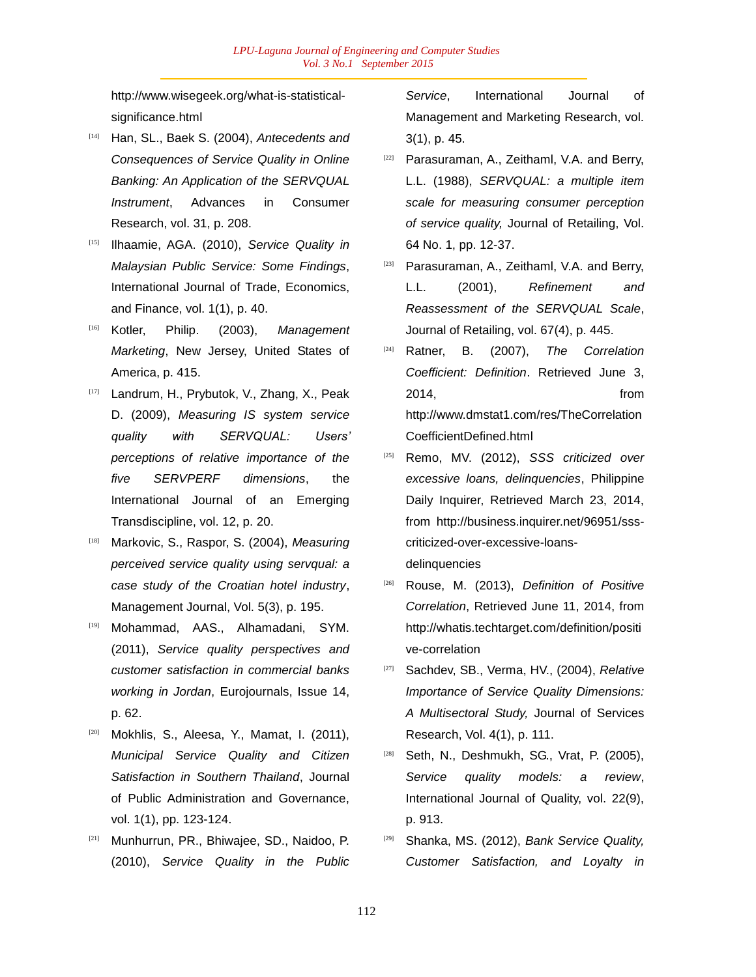http://www.wisegeek.org/what-is-statisticalsignificance.html

- [14] Han, SL., Baek S. (2004), *Antecedents and Consequences of Service Quality in Online Banking: An Application of the SERVQUAL Instrument*, Advances in Consumer Research, vol. 31, p. 208.
- [15] Ilhaamie, AGA. (2010), *Service Quality in Malaysian Public Service: Some Findings*, International Journal of Trade, Economics, and Finance, vol. 1(1), p. 40.
- [16] Kotler, Philip. (2003), *Management Marketing*, New Jersey, United States of America, p. 415.
- [17] Landrum, H., Prybutok, V., Zhang, X., Peak D. (2009), *Measuring IS system service quality with SERVQUAL: Users" perceptions of relative importance of the five SERVPERF dimensions*, the International Journal of an Emerging Transdiscipline, vol. 12, p. 20.
- [18] Markovic, S., Raspor, S. (2004), *Measuring perceived service quality using servqual: a case study of the Croatian hotel industry*, Management Journal, Vol. 5(3), p. 195.
- [19] Mohammad, AAS., Alhamadani, SYM. (2011), *Service quality perspectives and customer satisfaction in commercial banks working in Jordan*, Eurojournals, Issue 14, p. 62.
- Mokhlis, S., Aleesa, Y., Mamat, I. (2011), *Municipal Service Quality and Citizen Satisfaction in Southern Thailand*, Journal of Public Administration and Governance, vol. 1(1), pp. 123-124.
- [21] Munhurrun, PR., Bhiwajee, SD., Naidoo, P. (2010), *Service Quality in the Public*

*Service*, International Journal of Management and Marketing Research, vol. 3(1), p. 45.

- [22] Parasuraman, A., Zeithaml, V.A. and Berry, L.L. (1988), *SERVQUAL: a multiple item scale for measuring consumer perception of service quality,* Journal of Retailing, Vol. 64 No. 1, pp. 12-37.
- [23] Parasuraman, A., Zeithaml, V.A. and Berry, L.L. (2001), *Refinement and Reassessment of the SERVQUAL Scale*, Journal of Retailing, vol. 67(4), p. 445.
- [24] Ratner, B. (2007), *The Correlation Coefficient: Definition*. Retrieved June 3, 2014, from http://www.dmstat1.com/res/TheCorrelation CoefficientDefined.html
- [25] Remo, MV. (2012), *SSS criticized over excessive loans, delinquencies*, Philippine Daily Inquirer, Retrieved March 23, 2014, from http://business.inquirer.net/96951/ssscriticized-over-excessive-loansdelinquencies
- [26] Rouse, M. (2013), *Definition of Positive Correlation*, Retrieved June 11, 2014, from http://whatis.techtarget.com/definition/positi ve-correlation
- [27] Sachdev, SB., Verma, HV., (2004), *Relative Importance of Service Quality Dimensions: A Multisectoral Study,* Journal of Services Research, Vol. 4(1), p. 111.
- [28] Seth, N., Deshmukh, SG., Vrat, P. (2005), *Service quality models: a review*, International Journal of Quality, vol. 22(9), p. 913.
- [29] Shanka, MS. (2012), *Bank Service Quality, Customer Satisfaction, and Loyalty in*